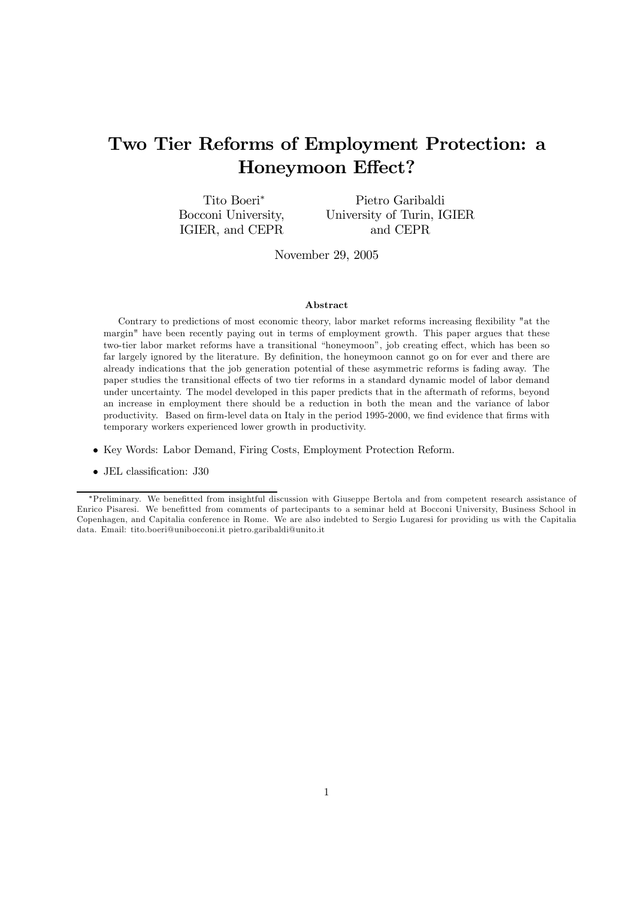# Two Tier Reforms of Employment Protection: a Honeymoon Effect?

Tito Boeri<sup>∗</sup> Bocconi University, IGIER, and CEPR Pietro Garibaldi University of Turin, IGIER and CEPR

November 29, 2005

#### Abstract

Contrary to predictions of most economic theory, labor market reforms increasing flexibility "at the margin" have been recently paying out in terms of employment growth. This paper argues that these two-tier labor market reforms have a transitional "honeymoon", job creating effect, which has been so far largely ignored by the literature. By definition, the honeymoon cannot go on for ever and there are already indications that the job generation potential of these asymmetric reforms is fading away. The paper studies the transitional effects of two tier reforms in a standard dynamic model of labor demand under uncertainty. The model developed in this paper predicts that in the aftermath of reforms, beyond an increase in employment there should be a reduction in both the mean and the variance of labor productivity. Based on firm-level data on Italy in the period 1995-2000, we find evidence that firms with temporary workers experienced lower growth in productivity.

- Key Words: Labor Demand, Firing Costs, Employment Protection Reform.
- JEL classification: J30

<sup>∗</sup>Preliminary. We benefitted from insightful discussion with Giuseppe Bertola and from competent research assistance of Enrico Pisaresi. We benefitted from comments of partecipants to a seminar held at Bocconi University, Business School in Copenhagen, and Capitalia conference in Rome. We are also indebted to Sergio Lugaresi for providing us with the Capitalia data. Email: tito.boeri@unibocconi.it pietro.garibaldi@unito.it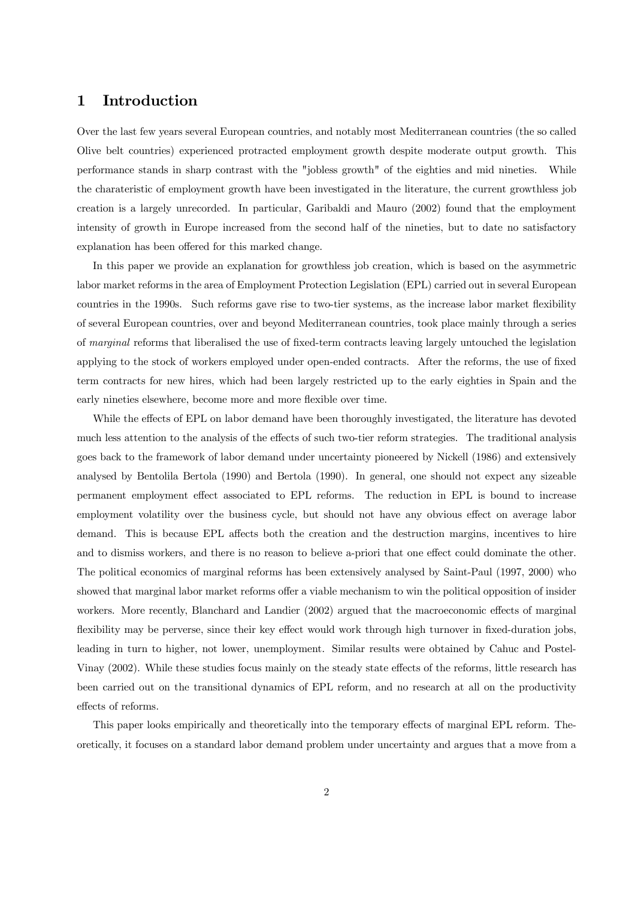# 1 Introduction

Over the last few years several European countries, and notably most Mediterranean countries (the so called Olive belt countries) experienced protracted employment growth despite moderate output growth. This performance stands in sharp contrast with the "jobless growth" of the eighties and mid nineties. While the charateristic of employment growth have been investigated in the literature, the current growthless job creation is a largely unrecorded. In particular, Garibaldi and Mauro (2002) found that the employment intensity of growth in Europe increased from the second half of the nineties, but to date no satisfactory explanation has been offered for this marked change.

In this paper we provide an explanation for growthless job creation, which is based on the asymmetric labor market reforms in the area of Employment Protection Legislation (EPL) carried out in several European countries in the 1990s. Such reforms gave rise to two-tier systems, as the increase labor market flexibility of several European countries, over and beyond Mediterranean countries, took place mainly through a series of marginal reforms that liberalised the use of fixed-term contracts leaving largely untouched the legislation applying to the stock of workers employed under open-ended contracts. After the reforms, the use of fixed term contracts for new hires, which had been largely restricted up to the early eighties in Spain and the early nineties elsewhere, become more and more flexible over time.

While the effects of EPL on labor demand have been thoroughly investigated, the literature has devoted much less attention to the analysis of the effects of such two-tier reform strategies. The traditional analysis goes back to the framework of labor demand under uncertainty pioneered by Nickell (1986) and extensively analysed by Bentolila Bertola (1990) and Bertola (1990). In general, one should not expect any sizeable permanent employment effect associated to EPL reforms. The reduction in EPL is bound to increase employment volatility over the business cycle, but should not have any obvious effect on average labor demand. This is because EPL affects both the creation and the destruction margins, incentives to hire and to dismiss workers, and there is no reason to believe a-priori that one effect could dominate the other. The political economics of marginal reforms has been extensively analysed by Saint-Paul (1997, 2000) who showed that marginal labor market reforms offer a viable mechanism to win the political opposition of insider workers. More recently, Blanchard and Landier (2002) argued that the macroeconomic effects of marginal flexibility may be perverse, since their key effect would work through high turnover in fixed-duration jobs, leading in turn to higher, not lower, unemployment. Similar results were obtained by Cahuc and Postel-Vinay (2002). While these studies focus mainly on the steady state effects of the reforms, little research has been carried out on the transitional dynamics of EPL reform, and no research at all on the productivity effects of reforms.

This paper looks empirically and theoretically into the temporary effects of marginal EPL reform. Theoretically, it focuses on a standard labor demand problem under uncertainty and argues that a move from a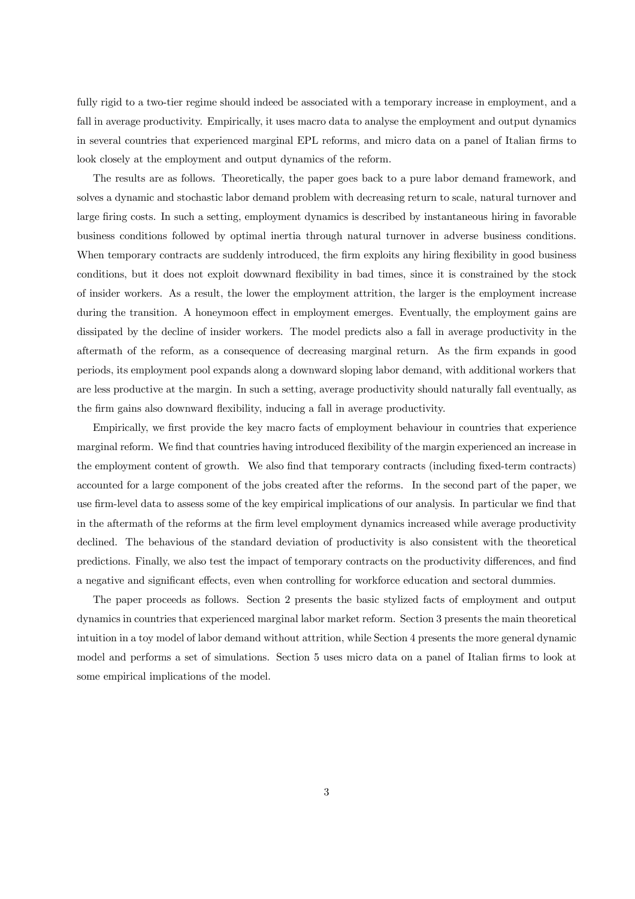fully rigid to a two-tier regime should indeed be associated with a temporary increase in employment, and a fall in average productivity. Empirically, it uses macro data to analyse the employment and output dynamics in several countries that experienced marginal EPL reforms, and micro data on a panel of Italian firms to look closely at the employment and output dynamics of the reform.

The results are as follows. Theoretically, the paper goes back to a pure labor demand framework, and solves a dynamic and stochastic labor demand problem with decreasing return to scale, natural turnover and large firing costs. In such a setting, employment dynamics is described by instantaneous hiring in favorable business conditions followed by optimal inertia through natural turnover in adverse business conditions. When temporary contracts are suddenly introduced, the firm exploits any hiring flexibility in good business conditions, but it does not exploit dowwnard flexibility in bad times, since it is constrained by the stock of insider workers. As a result, the lower the employment attrition, the larger is the employment increase during the transition. A honeymoon effect in employment emerges. Eventually, the employment gains are dissipated by the decline of insider workers. The model predicts also a fall in average productivity in the aftermath of the reform, as a consequence of decreasing marginal return. As the firm expands in good periods, its employment pool expands along a downward sloping labor demand, with additional workers that are less productive at the margin. In such a setting, average productivity should naturally fall eventually, as the firm gains also downward flexibility, inducing a fall in average productivity.

Empirically, we first provide the key macro facts of employment behaviour in countries that experience marginal reform. We find that countries having introduced flexibility of the margin experienced an increase in the employment content of growth. We also find that temporary contracts (including fixed-term contracts) accounted for a large component of the jobs created after the reforms. In the second part of the paper, we use firm-level data to assess some of the key empirical implications of our analysis. In particular we find that in the aftermath of the reforms at the firm level employment dynamics increased while average productivity declined. The behavious of the standard deviation of productivity is also consistent with the theoretical predictions. Finally, we also test the impact of temporary contracts on the productivity differences, and find a negative and significant effects, even when controlling for workforce education and sectoral dummies.

The paper proceeds as follows. Section 2 presents the basic stylized facts of employment and output dynamics in countries that experienced marginal labor market reform. Section 3 presents the main theoretical intuition in a toy model of labor demand without attrition, while Section 4 presents the more general dynamic model and performs a set of simulations. Section 5 uses micro data on a panel of Italian firms to look at some empirical implications of the model.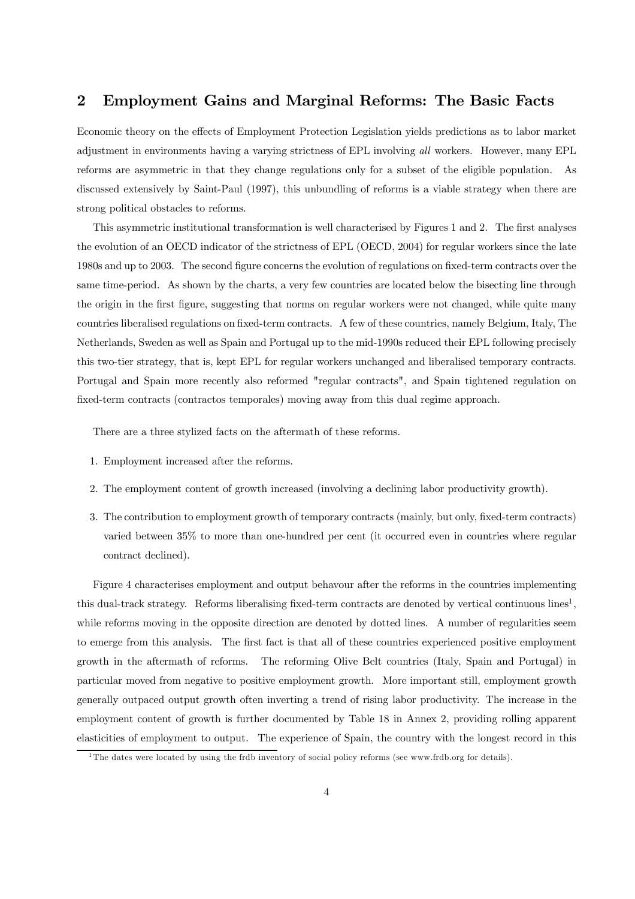# 2 Employment Gains and Marginal Reforms: The Basic Facts

Economic theory on the effects of Employment Protection Legislation yields predictions as to labor market adjustment in environments having a varying strictness of EPL involving all workers. However, many EPL reforms are asymmetric in that they change regulations only for a subset of the eligible population. As discussed extensively by Saint-Paul (1997), this unbundling of reforms is a viable strategy when there are strong political obstacles to reforms.

This asymmetric institutional transformation is well characterised by Figures 1 and 2. The first analyses the evolution of an OECD indicator of the strictness of EPL (OECD, 2004) for regular workers since the late 1980s and up to 2003. The second figure concerns the evolution of regulations on fixed-term contracts over the same time-period. As shown by the charts, a very few countries are located below the bisecting line through the origin in the first figure, suggesting that norms on regular workers were not changed, while quite many countries liberalised regulations on fixed-term contracts. A few of these countries, namely Belgium, Italy, The Netherlands, Sweden as well as Spain and Portugal up to the mid-1990s reduced their EPL following precisely this two-tier strategy, that is, kept EPL for regular workers unchanged and liberalised temporary contracts. Portugal and Spain more recently also reformed "regular contracts", and Spain tightened regulation on fixed-term contracts (contractos temporales) moving away from this dual regime approach.

There are a three stylized facts on the aftermath of these reforms.

- 1. Employment increased after the reforms.
- 2. The employment content of growth increased (involving a declining labor productivity growth).
- 3. The contribution to employment growth of temporary contracts (mainly, but only, fixed-term contracts) varied between 35% to more than one-hundred per cent (it occurred even in countries where regular contract declined).

Figure 4 characterises employment and output behavour after the reforms in the countries implementing this dual-track strategy. Reforms liberalising fixed-term contracts are denoted by vertical continuous lines<sup>1</sup>, while reforms moving in the opposite direction are denoted by dotted lines. A number of regularities seem to emerge from this analysis. The first fact is that all of these countries experienced positive employment growth in the aftermath of reforms. The reforming Olive Belt countries (Italy, Spain and Portugal) in particular moved from negative to positive employment growth. More important still, employment growth generally outpaced output growth often inverting a trend of rising labor productivity. The increase in the employment content of growth is further documented by Table 18 in Annex 2, providing rolling apparent elasticities of employment to output. The experience of Spain, the country with the longest record in this

<sup>1</sup> The dates were located by using the frdb inventory of social policy reforms (see www.frdb.org for details).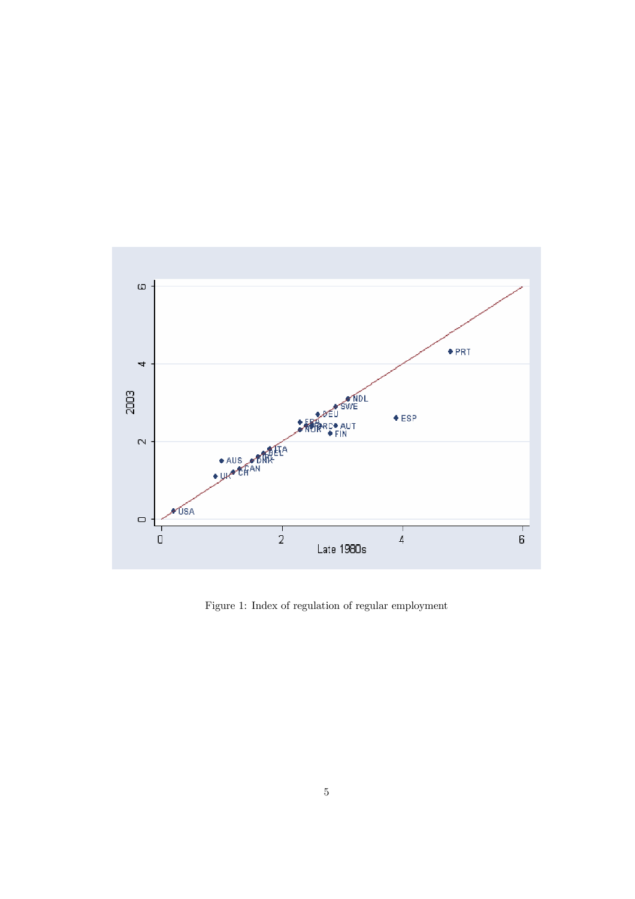

Figure 1: Index of regulation of regular employment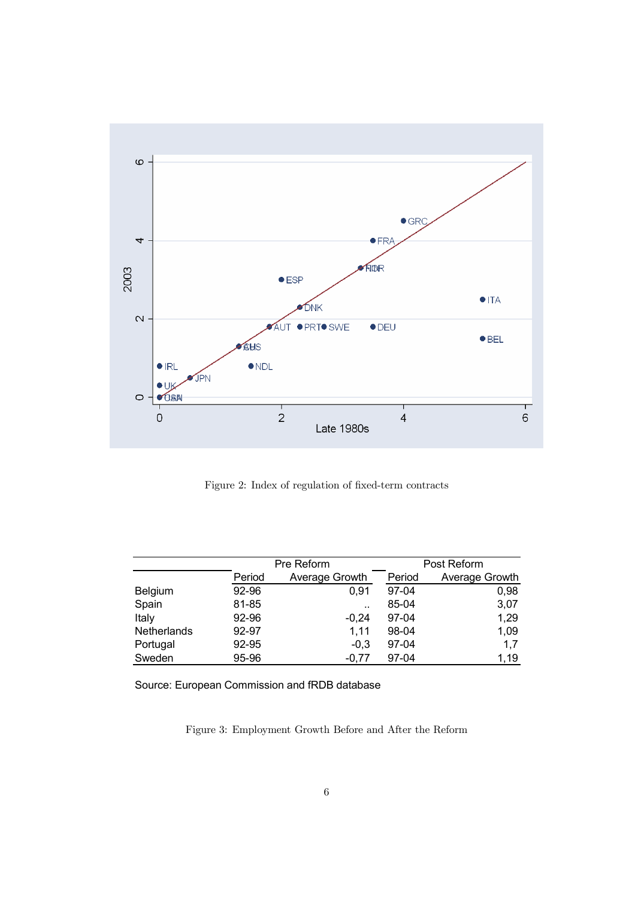

Figure 2: Index of regulation of fixed-term contracts

|             |        | Pre Reform     | Post Reform |                |  |
|-------------|--------|----------------|-------------|----------------|--|
|             | Period | Average Growth | Period      | Average Growth |  |
| Belgium     | 92-96  | 0,91           | $97-04$     | 0,98           |  |
| Spain       | 81-85  |                | 85-04       | 3,07           |  |
| Italy       | 92-96  | $-0,24$        | $97-04$     | 1,29           |  |
| Netherlands | 92-97  | 1,11           | 98-04       | 1,09           |  |
| Portugal    | 92-95  | $-0.3$         | 97-04       | 1,7            |  |
| Sweden      | 95-96  | $-0.77$        | $97 - 04$   | 1,19           |  |

Source: European Commission and fRDB database

Figure 3: Employment Growth Before and After the Reform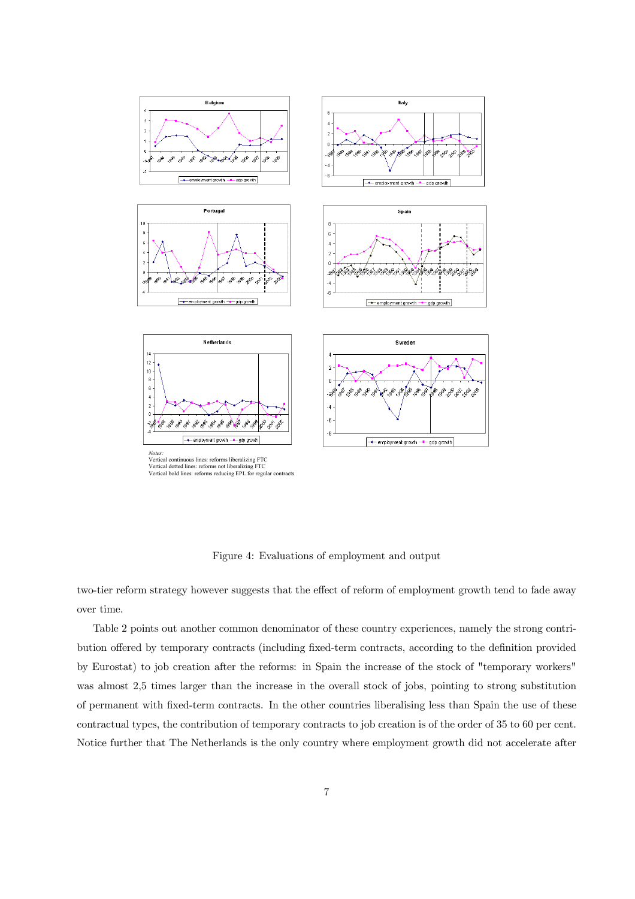

Figure 4: Evaluations of employment and output

two-tier reform strategy however suggests that the effect of reform of employment growth tend to fade away over time.

Table 2 points out another common denominator of these country experiences, namely the strong contribution offered by temporary contracts (including fixed-term contracts, according to the definition provided by Eurostat) to job creation after the reforms: in Spain the increase of the stock of "temporary workers" was almost 2,5 times larger than the increase in the overall stock of jobs, pointing to strong substitution of permanent with fixed-term contracts. In the other countries liberalising less than Spain the use of these contractual types, the contribution of temporary contracts to job creation is of the order of 35 to 60 per cent. Notice further that The Netherlands is the only country where employment growth did not accelerate after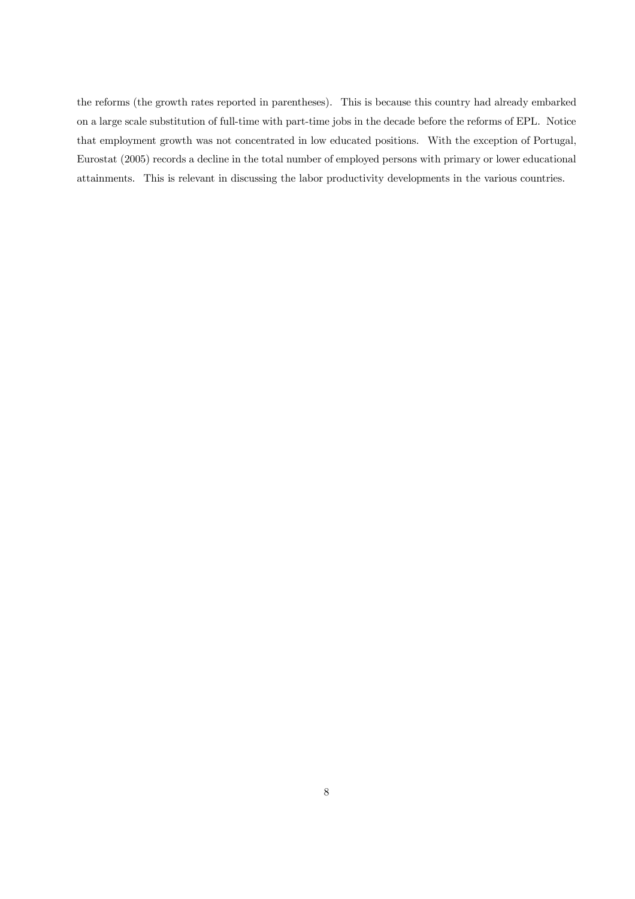the reforms (the growth rates reported in parentheses). This is because this country had already embarked on a large scale substitution of full-time with part-time jobs in the decade before the reforms of EPL. Notice that employment growth was not concentrated in low educated positions. With the exception of Portugal, Eurostat (2005) records a decline in the total number of employed persons with primary or lower educational attainments. This is relevant in discussing the labor productivity developments in the various countries.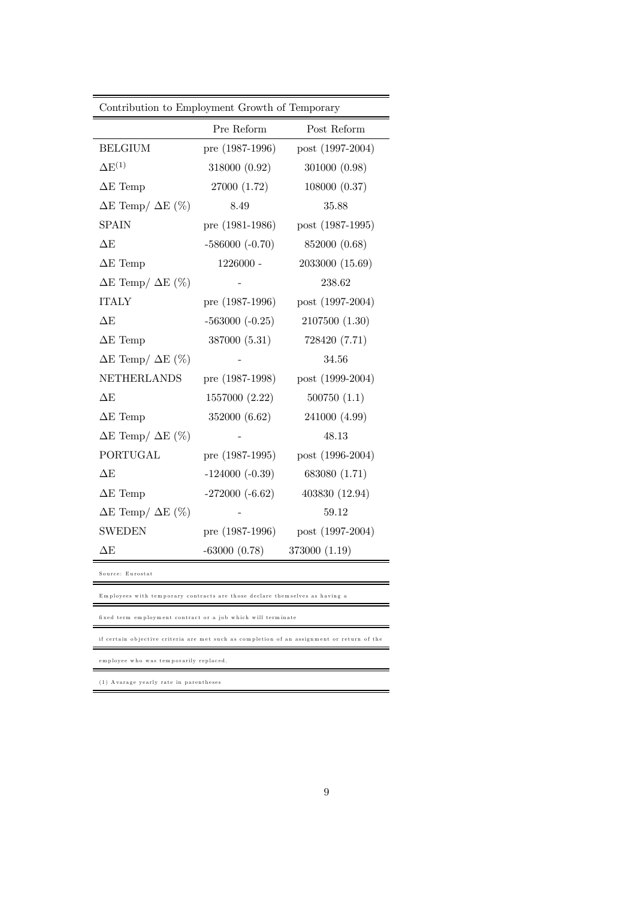| Contribution to Employment Growth of Temporary |                   |                  |  |  |  |  |
|------------------------------------------------|-------------------|------------------|--|--|--|--|
|                                                | Pre Reform        | Post Reform      |  |  |  |  |
| <b>BELGIUM</b>                                 | pre $(1987-1996)$ | post (1997-2004) |  |  |  |  |
| $\Delta E^{(1)}$                               | 318000 (0.92)     | 301000 (0.98)    |  |  |  |  |
| $\Delta E$ Temp                                | 27000 (1.72)      | 108000 (0.37)    |  |  |  |  |
| $\Delta E$ Temp/ $\Delta E$ (%)                | 8.49              | 35.88            |  |  |  |  |
| <b>SPAIN</b>                                   | pre (1981-1986)   | post (1987-1995) |  |  |  |  |
| $\Delta E$                                     | $-586000 (-0.70)$ | 852000 (0.68)    |  |  |  |  |
| $\Delta E$ Temp                                | 1226000 -         | 2033000 (15.69)  |  |  |  |  |
| $\Delta E$ Temp/ $\Delta E$ (%)                |                   | 238.62           |  |  |  |  |
| <b>ITALY</b>                                   | pre $(1987-1996)$ | post (1997-2004) |  |  |  |  |
| $\Delta E$                                     | $-563000 (-0.25)$ | 2107500 (1.30)   |  |  |  |  |
| $\Delta E$ Temp                                | 387000 (5.31)     | 728420 (7.71)    |  |  |  |  |
| $\Delta E$ Temp/ $\Delta E$ (%)                |                   | 34.56            |  |  |  |  |
| <b>NETHERLANDS</b>                             | pre $(1987-1998)$ | post (1999-2004) |  |  |  |  |
| $\Delta E$                                     | 1557000 (2.22)    | 500750(1.1)      |  |  |  |  |
| $\Delta E$ Temp                                | 352000 (6.62)     | 241000 (4.99)    |  |  |  |  |
| $\Delta E$ Temp/ $\Delta E$ (%)                |                   | 48.13            |  |  |  |  |
| <b>PORTUGAL</b>                                | pre $(1987-1995)$ | post (1996-2004) |  |  |  |  |
| $\Delta E$                                     | $-124000(-0.39)$  | 683080 (1.71)    |  |  |  |  |
| $\Delta E$ Temp                                | $-272000(-6.62)$  | 403830 (12.94)   |  |  |  |  |
| $\Delta E$ Temp/ $\Delta E$ (%)                |                   | 59.12            |  |  |  |  |
| <b>SWEDEN</b>                                  | pre $(1987-1996)$ | post (1997-2004) |  |  |  |  |
| $\Delta \text{E}$                              | $-63000(0.78)$    | 373000 (1.19)    |  |  |  |  |

Source: Eurostat

Employees with temporary contracts are those declare themselves as having a

fi xed term em ploym ent contract or a job w hich will term in ate

if certain objective criteria are met such as completion of an assignment or return of the

em ployee who was tem porarily replaced.

( 1 ) A varage yearly rate in parentheses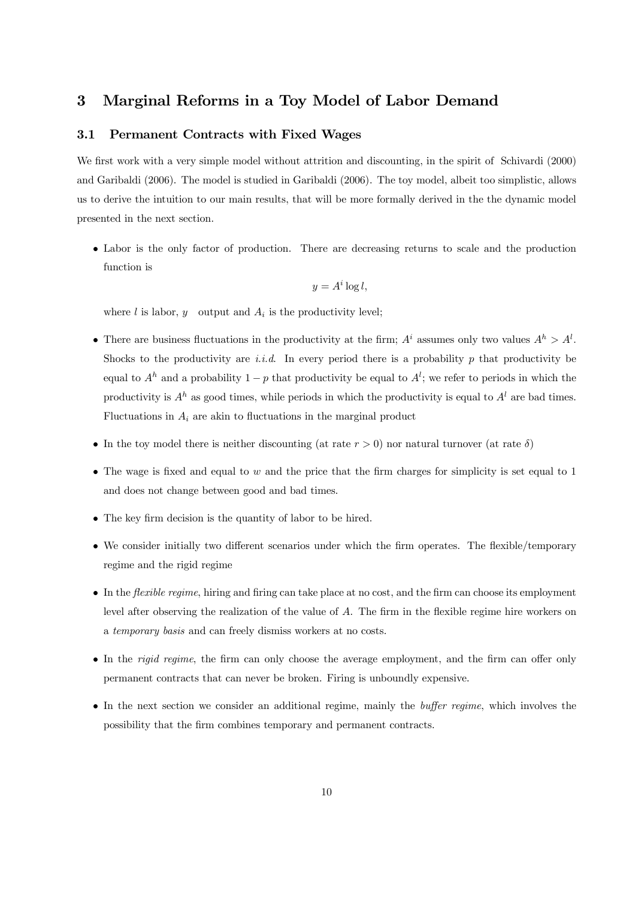# 3 Marginal Reforms in a Toy Model of Labor Demand

### 3.1 Permanent Contracts with Fixed Wages

We first work with a very simple model without attrition and discounting, in the spirit of Schivardi (2000) and Garibaldi (2006). The model is studied in Garibaldi (2006). The toy model, albeit too simplistic, allows us to derive the intuition to our main results, that will be more formally derived in the the dynamic model presented in the next section.

• Labor is the only factor of production. There are decreasing returns to scale and the production function is

$$
y = A^i \log l,
$$

where  $l$  is labor,  $y$  output and  $A_i$  is the productivity level;

- There are business fluctuations in the productivity at the firm;  $A^i$  assumes only two values  $A^h > A^l$ . Shocks to the productivity are *i.i.d.* In every period there is a probability p that productivity be equal to  $A<sup>h</sup>$  and a probability  $1 - p$  that productivity be equal to  $A<sup>l</sup>$ ; we refer to periods in which the productivity is  $A^h$  as good times, while periods in which the productivity is equal to  $A^l$  are bad times. Fluctuations in  $A_i$  are akin to fluctuations in the marginal product
- In the toy model there is neither discounting (at rate  $r > 0$ ) nor natural turnover (at rate  $\delta$ )
- The wage is fixed and equal to  $w$  and the price that the firm charges for simplicity is set equal to 1 and does not change between good and bad times.
- The key firm decision is the quantity of labor to be hired.
- We consider initially two different scenarios under which the firm operates. The flexible/temporary regime and the rigid regime
- In the *flexible regime*, hiring and firing can take place at no cost, and the firm can choose its employment level after observing the realization of the value of A. The firm in the flexible regime hire workers on a temporary basis and can freely dismiss workers at no costs.
- In the *rigid regime*, the firm can only choose the average employment, and the firm can offer only permanent contracts that can never be broken. Firing is unboundly expensive.
- In the next section we consider an additional regime, mainly the *buffer regime*, which involves the possibility that the firm combines temporary and permanent contracts.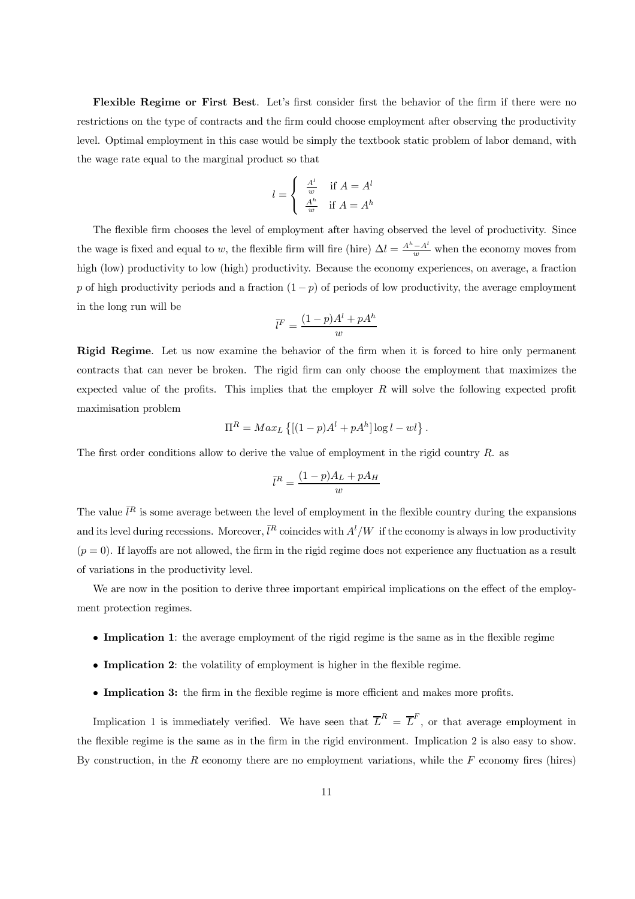Flexible Regime or First Best. Let's first consider first the behavior of the firm if there were no restrictions on the type of contracts and the firm could choose employment after observing the productivity level. Optimal employment in this case would be simply the textbook static problem of labor demand, with the wage rate equal to the marginal product so that

$$
l = \begin{cases} \frac{A^l}{w} & \text{if } A = A^l\\ \frac{A^h}{w} & \text{if } A = A^h \end{cases}
$$

The flexible firm chooses the level of employment after having observed the level of productivity. Since the wage is fixed and equal to w, the flexible firm will fire (hire)  $\Delta l = \frac{A^h - A^l}{w}$  when the economy moves from high (low) productivity to low (high) productivity. Because the economy experiences, on average, a fraction p of high productivity periods and a fraction  $(1 - p)$  of periods of low productivity, the average employment in the long run will be

$$
\bar{l}^F=\frac{(1-p)A^l+pA^h}{w}
$$

Rigid Regime. Let us now examine the behavior of the firm when it is forced to hire only permanent contracts that can never be broken. The rigid firm can only choose the employment that maximizes the expected value of the profits. This implies that the employer  $R$  will solve the following expected profit maximisation problem

$$
\Pi^R = Max_L \left\{ [(1-p)A^l + pA^h] \log l - w \right\}.
$$

The first order conditions allow to derive the value of employment in the rigid country R. as

$$
\bar{l}^R = \frac{(1-p)A_L + pA_H}{w}
$$

The value  $\bar{l}^R$  is some average between the level of employment in the flexible country during the expansions and its level during recessions. Moreover,  $\bar{l}^R$  coincides with  $A^l/W$  if the economy is always in low productivity  $(p = 0)$ . If layoffs are not allowed, the firm in the rigid regime does not experience any fluctuation as a result of variations in the productivity level.

We are now in the position to derive three important empirical implications on the effect of the employment protection regimes.

- Implication 1: the average employment of the rigid regime is the same as in the flexible regime
- Implication 2: the volatility of employment is higher in the flexible regime.
- Implication 3: the firm in the flexible regime is more efficient and makes more profits.

Implication 1 is immediately verified. We have seen that  $\overline{L}^R = \overline{L}^F$ , or that average employment in the flexible regime is the same as in the firm in the rigid environment. Implication 2 is also easy to show. By construction, in the  $R$  economy there are no employment variations, while the  $F$  economy fires (hires)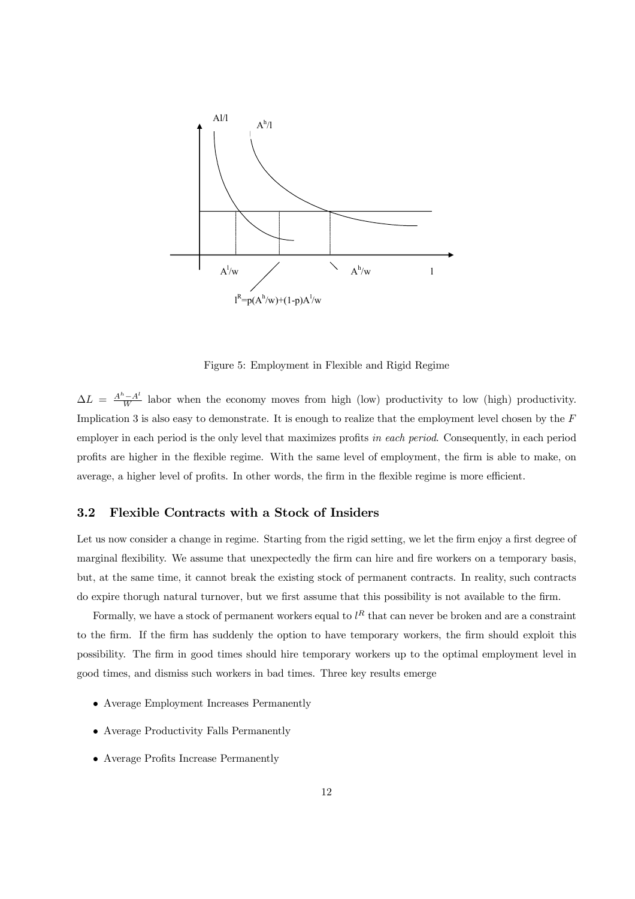

Figure 5: Employment in Flexible and Rigid Regime

 $\Delta L = \frac{A^h - A^l}{W}$  labor when the economy moves from high (low) productivity to low (high) productivity. Implication 3 is also easy to demonstrate. It is enough to realize that the employment level chosen by the F employer in each period is the only level that maximizes profits in each period. Consequently, in each period profits are higher in the flexible regime. With the same level of employment, the firm is able to make, on average, a higher level of profits. In other words, the firm in the flexible regime is more efficient.

# 3.2 Flexible Contracts with a Stock of Insiders

Let us now consider a change in regime. Starting from the rigid setting, we let the firm enjoy a first degree of marginal flexibility. We assume that unexpectedly the firm can hire and fire workers on a temporary basis, but, at the same time, it cannot break the existing stock of permanent contracts. In reality, such contracts do expire thorugh natural turnover, but we first assume that this possibility is not available to the firm.

Formally, we have a stock of permanent workers equal to  $l^R$  that can never be broken and are a constraint to the firm. If the firm has suddenly the option to have temporary workers, the firm should exploit this possibility. The firm in good times should hire temporary workers up to the optimal employment level in good times, and dismiss such workers in bad times. Three key results emerge

- Average Employment Increases Permanently
- Average Productivity Falls Permanently
- Average Profits Increase Permanently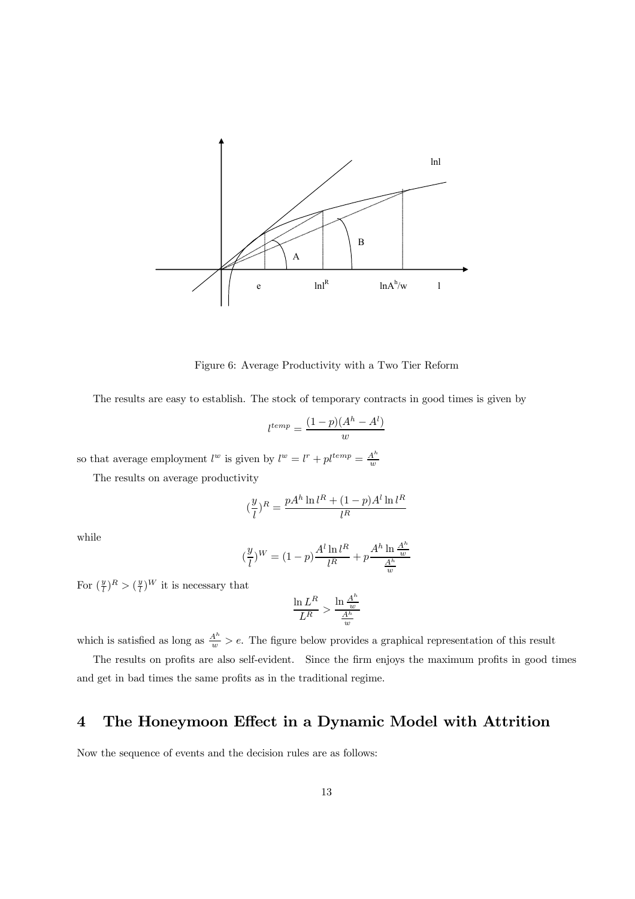

Figure 6: Average Productivity with a Two Tier Reform

The results are easy to establish. The stock of temporary contracts in good times is given by

$$
l^{temp} = \frac{(1-p)(A^h - A^l)}{w}
$$

so that average employment  $l^w$  is given by  $l^w = l^r + p l^{temp} = \frac{A^h}{w}$ 

The results on average productivity

$$
(\frac{y}{l})^R = \frac{pA^h \ln l^R + (1-p)A^l \ln l^R}{l^R}
$$

while

$$
(\frac{y}{l})^{W} = (1-p)\frac{A^{l} \ln l^{R}}{l^{R}} + p\frac{A^{h} \ln \frac{A^{h}}{w}}{\frac{A^{h}}{w}}
$$

For  $(\frac{y}{l})^R > (\frac{y}{l})^W$  it is necessary that

$$
\frac{\ln L^R}{L^R} > \frac{\ln \frac{A^h}{w}}{\frac{A^h}{w}}
$$

which is satisfied as long as  $\frac{A^h}{w} > e$ . The figure below provides a graphical representation of this result

The results on profits are also self-evident. Since the firm enjoys the maximum profits in good times and get in bad times the same profits as in the traditional regime.

# 4 The Honeymoon Effect in a Dynamic Model with Attrition

Now the sequence of events and the decision rules are as follows: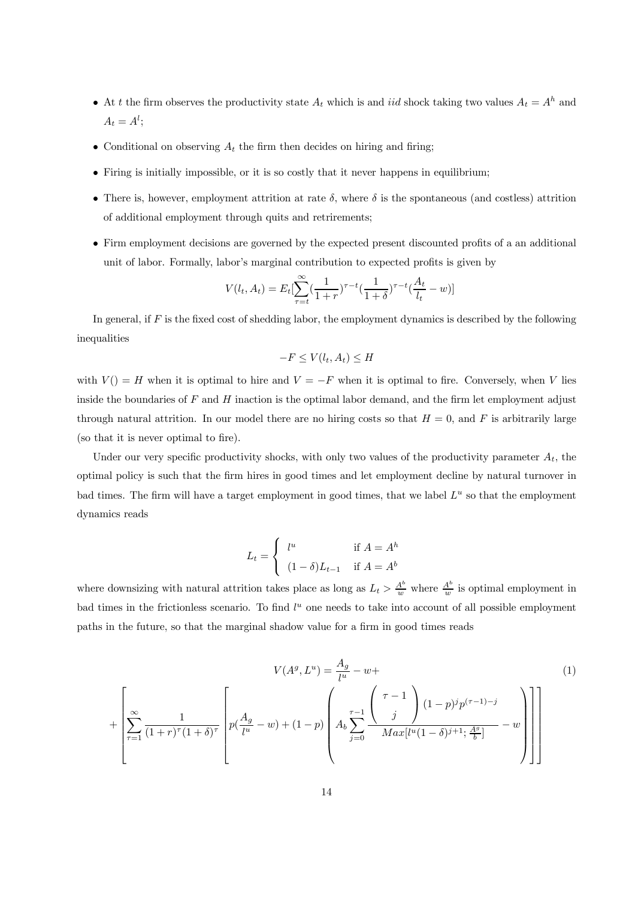- At t the firm observes the productivity state  $A_t$  which is and iid shock taking two values  $A_t = A^h$  and  $A_t = A^l;$
- Conditional on observing  $A_t$  the firm then decides on hiring and firing;
- Firing is initially impossible, or it is so costly that it never happens in equilibrium;
- There is, however, employment attrition at rate  $\delta$ , where  $\delta$  is the spontaneous (and costless) attrition of additional employment through quits and retrirements;
- Firm employment decisions are governed by the expected present discounted profits of a an additional unit of labor. Formally, labor's marginal contribution to expected profits is given by

$$
V(l_t, A_t) = E_t[\sum_{\tau=t}^{\infty} \left(\frac{1}{1+r}\right)^{\tau-t} \left(\frac{1}{1+\delta}\right)^{\tau-t} \left(\frac{A_t}{l_t} - w\right)]
$$

In general, if  $F$  is the fixed cost of shedding labor, the employment dynamics is described by the following inequalities

$$
-F \le V(l_t, A_t) \le H
$$

with  $V() = H$  when it is optimal to hire and  $V = -F$  when it is optimal to fire. Conversely, when V lies inside the boundaries of  $F$  and  $H$  inaction is the optimal labor demand, and the firm let employment adjust through natural attrition. In our model there are no hiring costs so that  $H = 0$ , and F is arbitrarily large (so that it is never optimal to fire).

Under our very specific productivity shocks, with only two values of the productivity parameter  $A_t$ , the optimal policy is such that the firm hires in good times and let employment decline by natural turnover in bad times. The firm will have a target employment in good times, that we label  $L^u$  so that the employment dynamics reads

$$
L_t = \begin{cases} l^u & \text{if } A = A^h \\ (1 - \delta) L_{t-1} & \text{if } A = A^b \end{cases}
$$

where downsizing with natural attrition takes place as long as  $L_t > \frac{A^b}{w}$  where  $\frac{A^b}{w}$  is optimal employment in bad times in the frictionless scenario. To find  $l^u$  one needs to take into account of all possible employment paths in the future, so that the marginal shadow value for a firm in good times reads

$$
V(A^{g}, L^{u}) = \frac{A_{g}}{l^{u}} - w +
$$
\n
$$
+ \left[ \sum_{\tau=1}^{\infty} \frac{1}{(1+r)^{\tau}(1+\delta)^{\tau}} \left[ p(\frac{A_{g}}{l^{u}} - w) + (1-p) \left( A_{b} \sum_{j=0}^{\tau-1} \frac{\binom{\tau-1}{j}}{Max[l^{u}(1-\delta)^{j+1}; \frac{A^{g}}{b}]} - w \right) \right] \right]
$$
\n(1)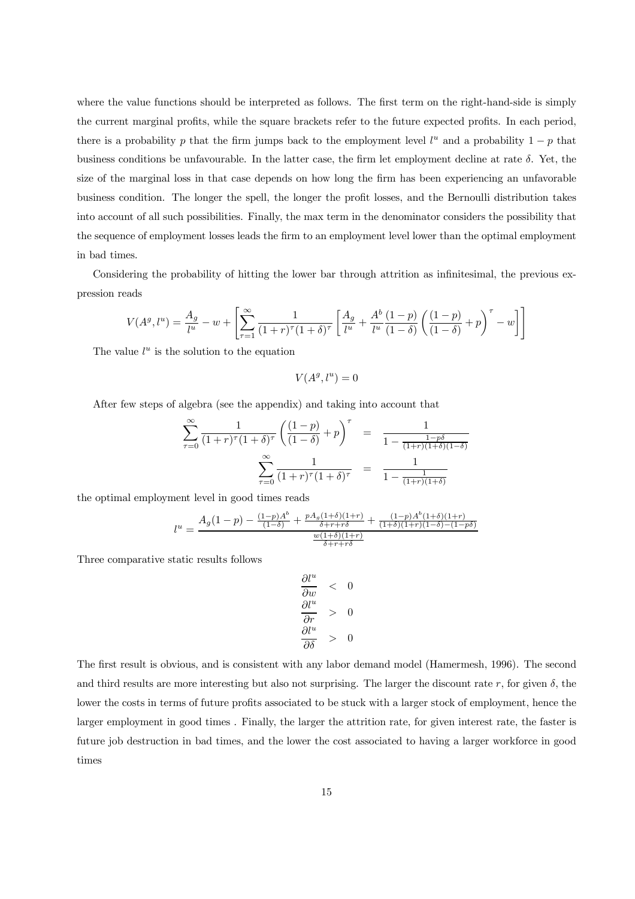where the value functions should be interpreted as follows. The first term on the right-hand-side is simply the current marginal profits, while the square brackets refer to the future expected profits. In each period, there is a probability p that the firm jumps back to the employment level  $l^u$  and a probability  $1 - p$  that business conditions be unfavourable. In the latter case, the firm let employment decline at rate  $\delta$ . Yet, the size of the marginal loss in that case depends on how long the firm has been experiencing an unfavorable business condition. The longer the spell, the longer the profit losses, and the Bernoulli distribution takes into account of all such possibilities. Finally, the max term in the denominator considers the possibility that the sequence of employment losses leads the firm to an employment level lower than the optimal employment in bad times.

Considering the probability of hitting the lower bar through attrition as infinitesimal, the previous expression reads

$$
V(A^g, l^u) = \frac{A_g}{l^u} - w + \left[ \sum_{\tau=1}^{\infty} \frac{1}{(1+\tau)^{\tau} (1+\delta)^{\tau}} \left[ \frac{A_g}{l^u} + \frac{A^b}{l^u} \frac{(1-p)}{(1-\delta)} \left( \frac{(1-p)}{(1-\delta)} + p \right)^{\tau} - w \right] \right]
$$

The value  $l^u$  is the solution to the equation

 $V(A^g, l^u)=0$ 

After few steps of algebra (see the appendix) and taking into account that

$$
\sum_{\tau=0}^{\infty} \frac{1}{(1+r)^{\tau} (1+\delta)^{\tau}} \left( \frac{(1-p)}{(1-\delta)} + p \right)^{\tau} = \frac{1}{1 - \frac{1-p\delta}{(1+r)(1+\delta)(1-\delta)}} \n\sum_{\tau=0}^{\infty} \frac{1}{(1+r)^{\tau} (1+\delta)^{\tau}} = \frac{1}{1 - \frac{1}{(1+r)(1+\delta)}}
$$

the optimal employment level in good times reads

$$
l^{u} = \frac{A_{g}(1-p) - \frac{(1-p)A^{b}}{(1-\delta)} + \frac{pA_{g}(1+\delta)(1+r)}{\delta+r+r\delta} + \frac{(1-p)A^{b}(1+\delta)(1+r)}{(1+\delta)(1+r)(1-\delta)-(1-p\delta)}}{\frac{w(1+\delta)(1+r)}{\delta+r+r\delta}}
$$

Three comparative static results follows

$$
\begin{array}{lcl}\n\frac{\partial l^u}{\partial w} & < & 0 \\
\frac{\partial l^u}{\partial r} & > & 0 \\
\frac{\partial l^u}{\partial \delta} & > & 0\n\end{array}
$$

The first result is obvious, and is consistent with any labor demand model (Hamermesh, 1996). The second and third results are more interesting but also not surprising. The larger the discount rate r, for given  $\delta$ , the lower the costs in terms of future profits associated to be stuck with a larger stock of employment, hence the larger employment in good times . Finally, the larger the attrition rate, for given interest rate, the faster is future job destruction in bad times, and the lower the cost associated to having a larger workforce in good times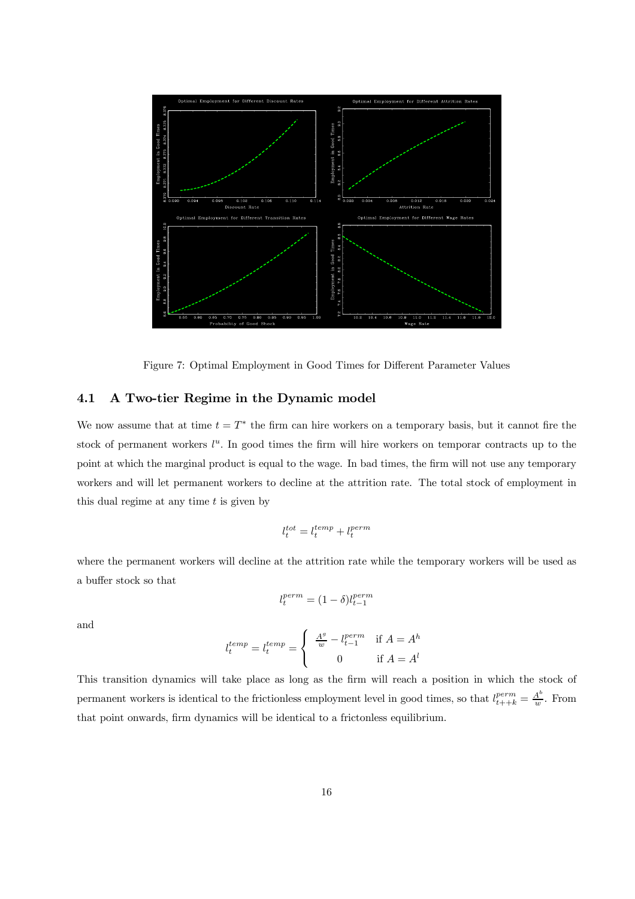

Figure 7: Optimal Employment in Good Times for Different Parameter Values

### 4.1 A Two-tier Regime in the Dynamic model

We now assume that at time  $t = T^*$  the firm can hire workers on a temporary basis, but it cannot fire the stock of permanent workers  $l^u$ . In good times the firm will hire workers on temporar contracts up to the point at which the marginal product is equal to the wage. In bad times, the firm will not use any temporary workers and will let permanent workers to decline at the attrition rate. The total stock of employment in this dual regime at any time  $t$  is given by

$$
l_t^{tot} = l_t^{temp} + l_t^{perm}
$$

where the permanent workers will decline at the attrition rate while the temporary workers will be used as a buffer stock so that

$$
l_t^{perm} = (1 - \delta)l_{t-1}^{perm}
$$

and

$$
l_t^{temp} = l_t^{temp} = \left\{ \begin{array}{cl} \frac{A^g}{w} - l_{t-1}^{perm} & \text{if } A = A^h \\ 0 & \text{if } A = A^l \end{array} \right.
$$

This transition dynamics will take place as long as the firm will reach a position in which the stock of permanent workers is identical to the frictionless employment level in good times, so that  $l_{t++k}^{perm} = \frac{A^b}{w}$ . From that point onwards, firm dynamics will be identical to a frictonless equilibrium.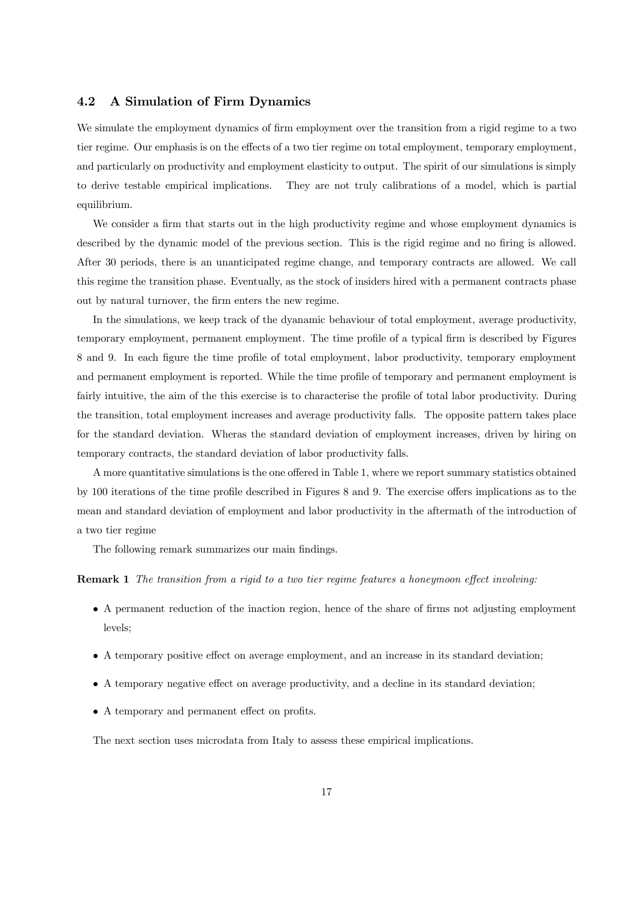#### 4.2 A Simulation of Firm Dynamics

We simulate the employment dynamics of firm employment over the transition from a rigid regime to a two tier regime. Our emphasis is on the effects of a two tier regime on total employment, temporary employment, and particularly on productivity and employment elasticity to output. The spirit of our simulations is simply to derive testable empirical implications. They are not truly calibrations of a model, which is partial equilibrium.

We consider a firm that starts out in the high productivity regime and whose employment dynamics is described by the dynamic model of the previous section. This is the rigid regime and no firing is allowed. After 30 periods, there is an unanticipated regime change, and temporary contracts are allowed. We call this regime the transition phase. Eventually, as the stock of insiders hired with a permanent contracts phase out by natural turnover, the firm enters the new regime.

In the simulations, we keep track of the dyanamic behaviour of total employment, average productivity, temporary employment, permanent employment. The time profile of a typical firm is described by Figures 8 and 9. In each figure the time profile of total employment, labor productivity, temporary employment and permanent employment is reported. While the time profile of temporary and permanent employment is fairly intuitive, the aim of the this exercise is to characterise the profile of total labor productivity. During the transition, total employment increases and average productivity falls. The opposite pattern takes place for the standard deviation. Wheras the standard deviation of employment increases, driven by hiring on temporary contracts, the standard deviation of labor productivity falls.

A more quantitative simulations is the one offered in Table 1, where we report summary statistics obtained by 100 iterations of the time profile described in Figures 8 and 9. The exercise offers implications as to the mean and standard deviation of employment and labor productivity in the aftermath of the introduction of a two tier regime

The following remark summarizes our main findings.

Remark 1 The transition from a rigid to a two tier regime features a honeymoon effect involving:

- A permanent reduction of the inaction region, hence of the share of firms not adjusting employment levels;
- A temporary positive effect on average employment, and an increase in its standard deviation;
- A temporary negative effect on average productivity, and a decline in its standard deviation;
- A temporary and permanent effect on profits.

The next section uses microdata from Italy to assess these empirical implications.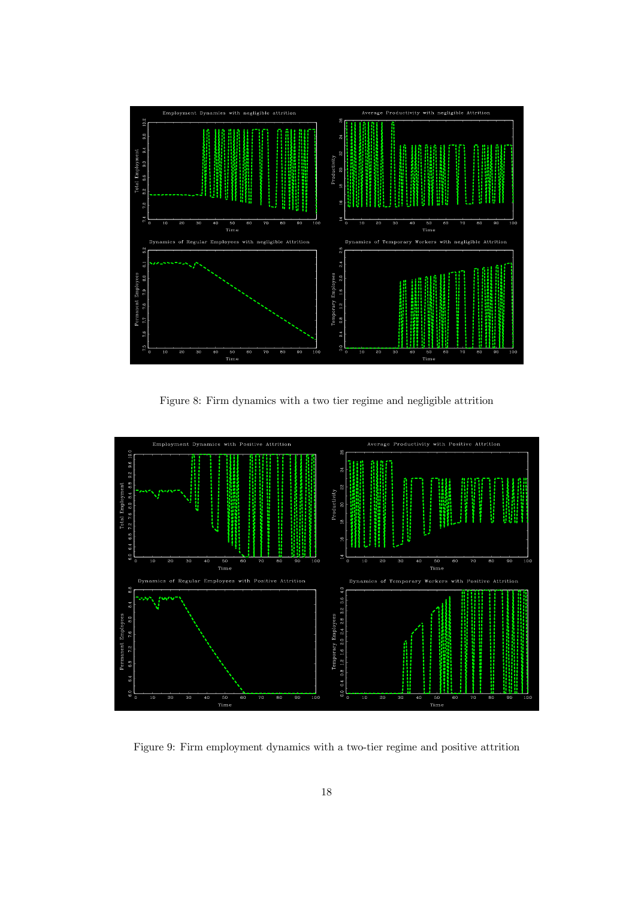

Figure 8: Firm dynamics with a two tier regime and negligible attrition



Figure 9: Firm employment dynamics with a two-tier regime and positive attrition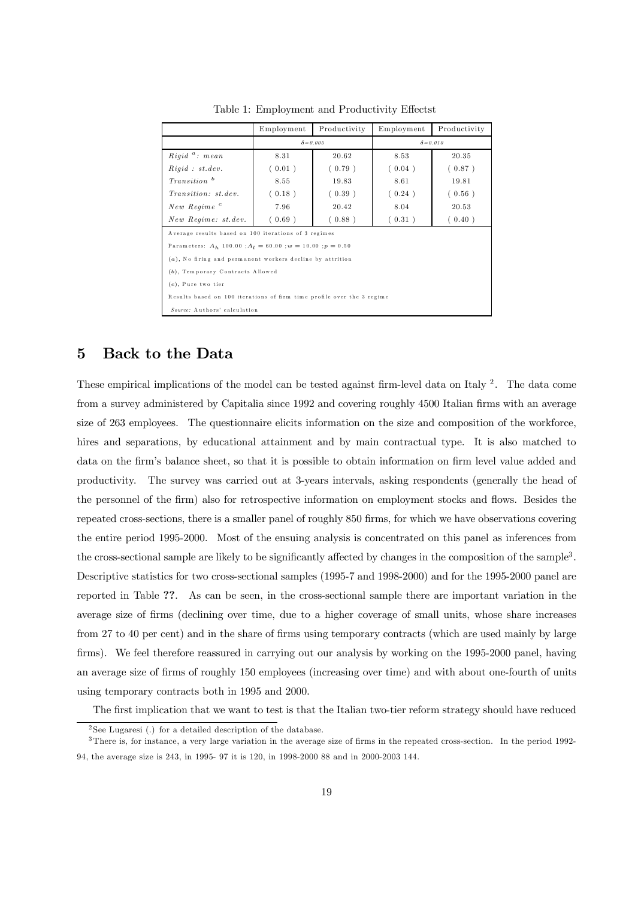|                                                                        | Employment | Productivity     | Employment       | Productivity |  |  |  |
|------------------------------------------------------------------------|------------|------------------|------------------|--------------|--|--|--|
|                                                                        |            | $\delta = 0.005$ | $\delta = 0.010$ |              |  |  |  |
| $Rigid \, \, \degree: \, \, mean$                                      | 8.31       | 20.62            | 8.53             | 20.35        |  |  |  |
| Right : st. dev.                                                       | (0.01)     | (0.79)           | (0.04)           | (0.87)       |  |  |  |
| $Transition$ <sup>b</sup>                                              | 8.55       | 19.83            | 8.61             | 19.81        |  |  |  |
| <i>Transition: st.dev.</i>                                             | (0.18)     | (0.39)           | (0.24)           | (0.56)       |  |  |  |
| New Regime <sup>c</sup>                                                | 7.96       | 20.42            | 8.04             | 20.53        |  |  |  |
| New Regime: st.dev.                                                    | (0.69)     | (0.88)           | (0.31)           | (0.40)       |  |  |  |
| Average results based on 100 iterations of 3 regimes                   |            |                  |                  |              |  |  |  |
| Parameters: $A_h$ 100.00; $A_l = 60.00$ ; $w = 10.00$ ; $p = 0.50$     |            |                  |                  |              |  |  |  |
| $(a)$ , No firing and permanent workers decline by attrition           |            |                  |                  |              |  |  |  |
| (b), Temporary Contracts Allowed                                       |            |                  |                  |              |  |  |  |
| $(c)$ , Pure two tier                                                  |            |                  |                  |              |  |  |  |
| Results based on 100 iterations of firm time profile over the 3 regime |            |                  |                  |              |  |  |  |
| Source: Authors' calculation                                           |            |                  |                  |              |  |  |  |

Table 1: Employment and Productivity Effectst

### 5 Back to the Data

These empirical implications of the model can be tested against firm-level data on Italy  $2$ . The data come from a survey administered by Capitalia since 1992 and covering roughly 4500 Italian firms with an average size of 263 employees. The questionnaire elicits information on the size and composition of the workforce, hires and separations, by educational attainment and by main contractual type. It is also matched to data on the firm's balance sheet, so that it is possible to obtain information on firm level value added and productivity. The survey was carried out at 3-years intervals, asking respondents (generally the head of the personnel of the firm) also for retrospective information on employment stocks and flows. Besides the repeated cross-sections, there is a smaller panel of roughly 850 firms, for which we have observations covering the entire period 1995-2000. Most of the ensuing analysis is concentrated on this panel as inferences from the cross-sectional sample are likely to be significantly affected by changes in the composition of the sample3 . Descriptive statistics for two cross-sectional samples (1995-7 and 1998-2000) and for the 1995-2000 panel are reported in Table ??. As can be seen, in the cross-sectional sample there are important variation in the average size of firms (declining over time, due to a higher coverage of small units, whose share increases from 27 to 40 per cent) and in the share of firms using temporary contracts (which are used mainly by large firms). We feel therefore reassured in carrying out our analysis by working on the 1995-2000 panel, having an average size of firms of roughly 150 employees (increasing over time) and with about one-fourth of units using temporary contracts both in 1995 and 2000.

The first implication that we want to test is that the Italian two-tier reform strategy should have reduced

<sup>&</sup>lt;sup>2</sup> See Lugaresi (.) for a detailed description of the database.

<sup>3</sup> There is, for instance, a very large variation in the average size of firms in the repeated cross-section. In the period 1992- 94, the average size is 243, in 1995- 97 it is 120, in 1998-2000 88 and in 2000-2003 144.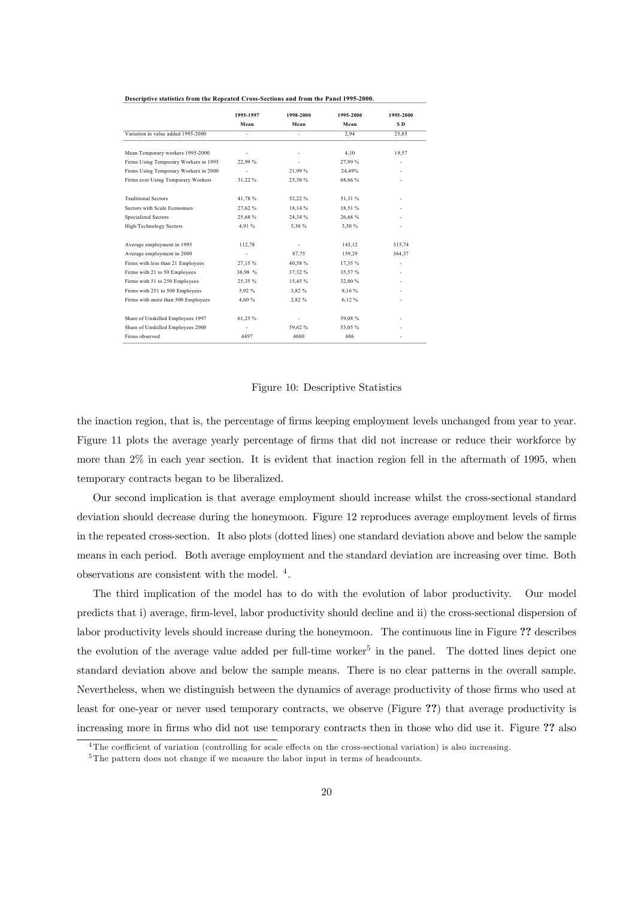|                                       | 1995-1997 | 1998-2000 | 1995-2000 | 1995-2000       |
|---------------------------------------|-----------|-----------|-----------|-----------------|
|                                       | Mean      | Mean      | Mean      | SD <sub>1</sub> |
| Variation in value added 1995-2000    | ٠         |           | 2,94      | 25,85           |
| Mean Temporary workers 1995-2000      |           |           | 4,10      | 19,57           |
| Firms Using Temporary Workers in 1995 | 22,99%    |           | 27,99%    |                 |
| Firms Using Temporary Workers in 2000 |           | 21,99%    | 24,49%    |                 |
| Firms ever Using Temporary Workers    | 31,22 %   | 25,30%    | 68,66%    |                 |
| <b>Traditional Sectors</b>            | 41,78%    | 52,22 %   | 51,31 %   |                 |
| Sectors with Scale Economies          | 27,62 %   | 18,14 %   | 18,51 %   |                 |
| <b>Specialized Sectors</b>            | 25,68%    | 24,34 %   | 26,68%    |                 |
| High/Technology Sectors               | 4.91 %    | 5,30 %    | 3.50 %    |                 |
| Average employment in 1995            | 112,78    |           | 143,12    | 315,74          |
| Average employment in 2000            |           | 87,75     | 159,29    | 364,37          |
| Firms with less than 21 Employees     | 27,15%    | 40,58%    | 17,35 %   |                 |
| Firms with 21 to 50 Employees         | 36,98 %   | 37,32 %   | 35,57%    |                 |
| Firms with 51 to 250 Employees        | 25,35%    | 15,45 %   | 32,80%    |                 |
| Firms with 251 to 500 Employees       | 5.92 %    | 3,82 %    | 8,16 %    |                 |
| Firms with more than 500 Employees    | 4,60 %    | 2,82 %    | 6,12%     |                 |
| Share of Unskilled Employees 1997     | 61,25%    |           | 59,08%    |                 |
| Share of Unskilled Employees 2000     | ٠         | 59,62%    | 53,05%    |                 |
| Firms observed                        | 4497      | 4680      | 686       |                 |

#### **Descriptive statistics from the Repeated Cross-Sections and from the Panel 1995-2000.**

#### Figure 10: Descriptive Statistics

the inaction region, that is, the percentage of firms keeping employment levels unchanged from year to year. Figure 11 plots the average yearly percentage of firms that did not increase or reduce their workforce by more than 2% in each year section. It is evident that inaction region fell in the aftermath of 1995, when temporary contracts began to be liberalized.

Our second implication is that average employment should increase whilst the cross-sectional standard deviation should decrease during the honeymoon. Figure 12 reproduces average employment levels of firms in the repeated cross-section. It also plots (dotted lines) one standard deviation above and below the sample means in each period. Both average employment and the standard deviation are increasing over time. Both observations are consistent with the model. <sup>4</sup> .

The third implication of the model has to do with the evolution of labor productivity. Our model predicts that i) average, firm-level, labor productivity should decline and ii) the cross-sectional dispersion of labor productivity levels should increase during the honeymoon. The continuous line in Figure ?? describes the evolution of the average value added per full-time worker<sup>5</sup> in the panel. The dotted lines depict one standard deviation above and below the sample means. There is no clear patterns in the overall sample. Nevertheless, when we distinguish between the dynamics of average productivity of those firms who used at least for one-year or never used temporary contracts, we observe (Figure ??) that average productivity is increasing more in firms who did not use temporary contracts then in those who did use it. Figure ?? also

<sup>&</sup>lt;sup>4</sup>The coefficient of variation (controlling for scale effects on the cross-sectional variation) is also increasing.

<sup>&</sup>lt;sup>5</sup>The pattern does not change if we measure the labor input in terms of headcounts.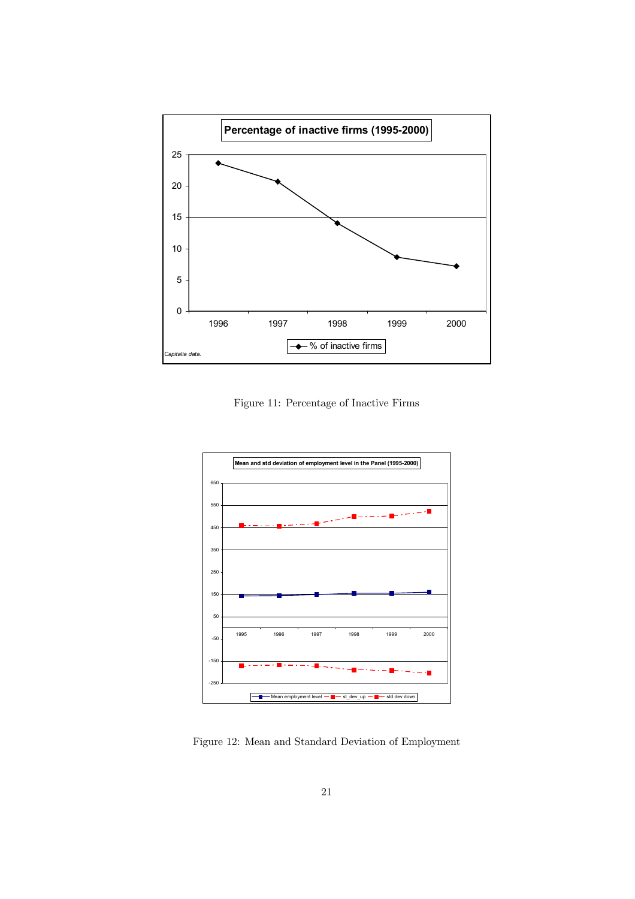

Figure 11: Percentage of Inactive Firms



Figure 12: Mean and Standard Deviation of Employment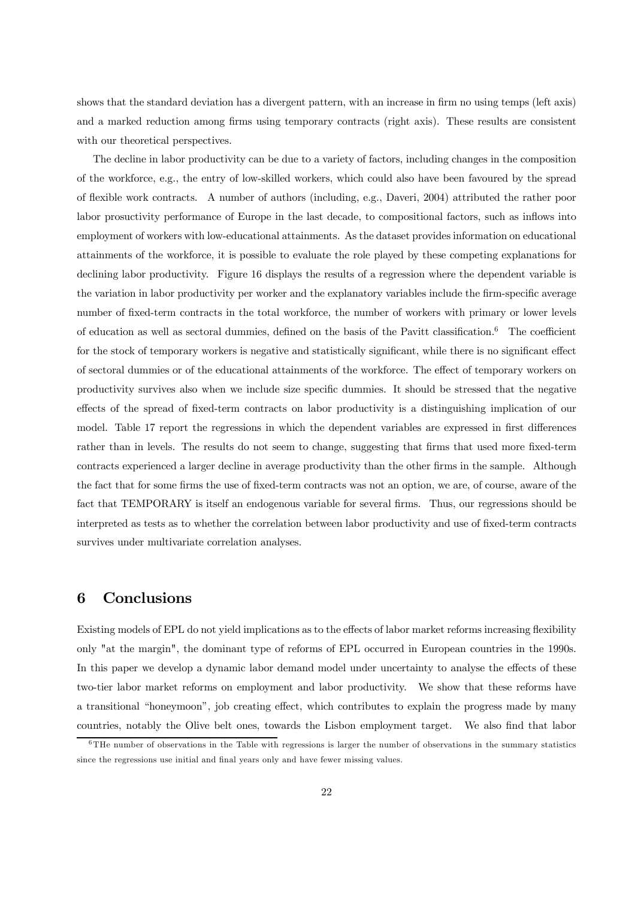shows that the standard deviation has a divergent pattern, with an increase in firm no using temps (left axis) and a marked reduction among firms using temporary contracts (right axis). These results are consistent with our theoretical perspectives.

The decline in labor productivity can be due to a variety of factors, including changes in the composition of the workforce, e.g., the entry of low-skilled workers, which could also have been favoured by the spread of flexible work contracts. A number of authors (including, e.g., Daveri, 2004) attributed the rather poor labor prosuctivity performance of Europe in the last decade, to compositional factors, such as inflows into employment of workers with low-educational attainments. As the dataset provides information on educational attainments of the workforce, it is possible to evaluate the role played by these competing explanations for declining labor productivity. Figure 16 displays the results of a regression where the dependent variable is the variation in labor productivity per worker and the explanatory variables include the firm-specific average number of fixed-term contracts in the total workforce, the number of workers with primary or lower levels of education as well as sectoral dummies, defined on the basis of the Pavitt classification.6 The coefficient for the stock of temporary workers is negative and statistically significant, while there is no significant effect of sectoral dummies or of the educational attainments of the workforce. The effect of temporary workers on productivity survives also when we include size specific dummies. It should be stressed that the negative effects of the spread of fixed-term contracts on labor productivity is a distinguishing implication of our model. Table 17 report the regressions in which the dependent variables are expressed in first differences rather than in levels. The results do not seem to change, suggesting that firms that used more fixed-term contracts experienced a larger decline in average productivity than the other firms in the sample. Although the fact that for some firms the use of fixed-term contracts was not an option, we are, of course, aware of the fact that TEMPORARY is itself an endogenous variable for several firms. Thus, our regressions should be interpreted as tests as to whether the correlation between labor productivity and use of fixed-term contracts survives under multivariate correlation analyses.

# 6 Conclusions

Existing models of EPL do not yield implications as to the effects of labor market reforms increasing flexibility only "at the margin", the dominant type of reforms of EPL occurred in European countries in the 1990s. In this paper we develop a dynamic labor demand model under uncertainty to analyse the effects of these two-tier labor market reforms on employment and labor productivity. We show that these reforms have a transitional "honeymoon", job creating effect, which contributes to explain the progress made by many countries, notably the Olive belt ones, towards the Lisbon employment target. We also find that labor

 $6$ THe number of observations in the Table with regressions is larger the number of observations in the summary statistics since the regressions use initial and final years only and have fewer missing values.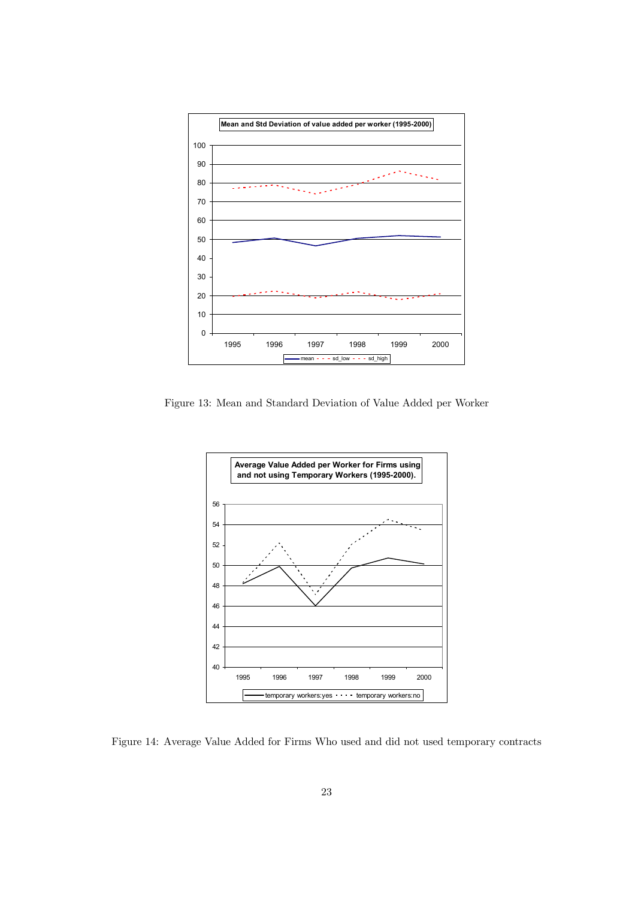

Figure 13: Mean and Standard Deviation of Value Added per Worker



Figure 14: Average Value Added for Firms Who used and did not used temporary contracts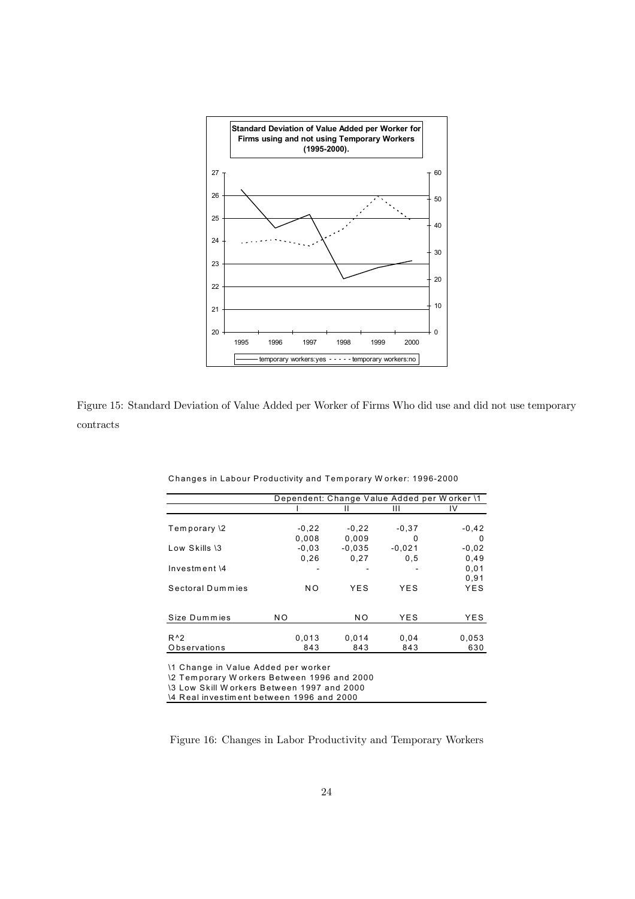

Figure 15: Standard Deviation of Value Added per Worker of Firms Who did use and did not use temporary contracts

|                  | Dependent: Change Value Added per Worker \1 |                |          |         |
|------------------|---------------------------------------------|----------------|----------|---------|
|                  |                                             |                | Ш        | IV      |
|                  |                                             |                |          |         |
| Temporary \2     | $-0,22$                                     | $-0.22$        | $-0.37$  | $-0,42$ |
|                  | 0,008                                       | 0.009          | 0        | 0       |
| Low Skills \3    | $-0.03$                                     | $-0.035$       | $-0.021$ | $-0,02$ |
|                  | 0.26                                        | 0.27           | 0.5      | 0,49    |
| $Investment \$   |                                             |                |          | 0.01    |
|                  |                                             |                |          | 0,91    |
| Sectoral Dummies | NO.                                         | YES            | YES      | YES     |
|                  |                                             |                |          |         |
|                  |                                             |                |          |         |
| Size Dummies     | NO.                                         | N <sub>O</sub> | YES      | YES     |
|                  |                                             |                |          |         |
| $R^0$            | 0,013                                       | 0,014          | 0,04     | 0.053   |
| Observations     | 843                                         | 843            | 843      | 630     |

Changes in Labour Productivity and Tem porary W orker: 1996-2000

\1 Change in Value Added per worker

\2 Tem porary W orkers Between 1996 and 2000

\3 Low Skill W orkers Between 1997 and 2000

\4 Real investim ent between 1996 and 2000

Figure 16: Changes in Labor Productivity and Temporary Workers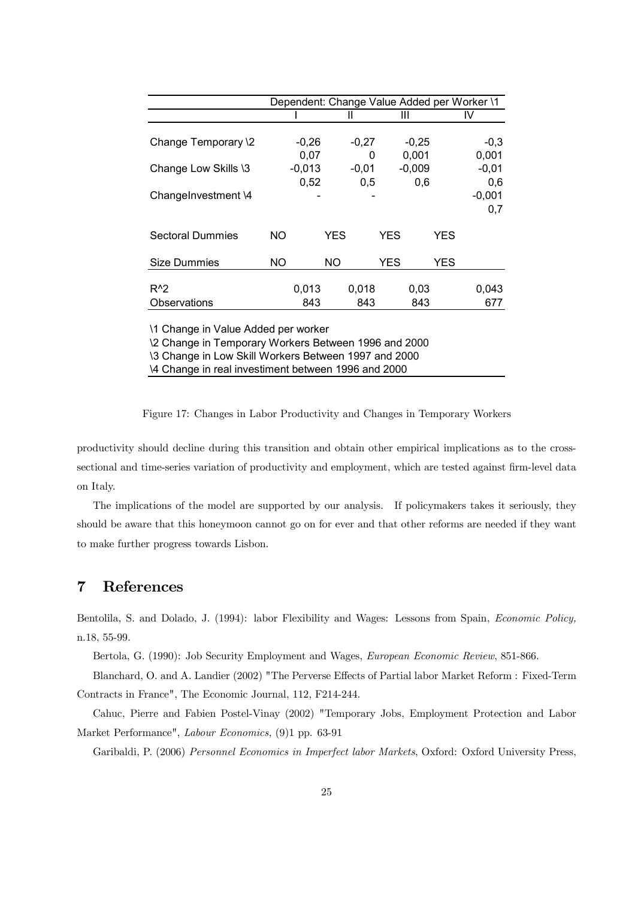|                                     | Dependent: Change Value Added per Worker \1 |          |            |         |            |          |            |          |
|-------------------------------------|---------------------------------------------|----------|------------|---------|------------|----------|------------|----------|
|                                     |                                             |          |            | Ш       |            | Ш        |            | IV       |
| Change Temporary \2                 |                                             | $-0,26$  |            | $-0,27$ |            | $-0,25$  |            | $-0,3$   |
|                                     |                                             | 0,07     |            | 0       |            | 0,001    |            | 0,001    |
| Change Low Skills \3                |                                             | $-0,013$ |            | $-0,01$ |            | $-0,009$ |            | $-0,01$  |
|                                     |                                             | 0,52     |            | 0,5     |            | 0,6      |            | 0,6      |
| ChangeInvestment \4                 |                                             |          |            |         |            |          |            | $-0,001$ |
|                                     |                                             |          |            |         |            |          |            | 0,7      |
| <b>Sectoral Dummies</b>             | NO.                                         |          | <b>YES</b> |         | <b>YES</b> |          | <b>YES</b> |          |
|                                     |                                             |          |            |         |            |          |            |          |
| <b>Size Dummies</b>                 | <b>NO</b>                                   |          | NΟ         |         | <b>YES</b> |          | <b>YES</b> |          |
|                                     |                                             |          |            |         |            |          |            |          |
| $R^2$                               |                                             | 0,013    |            | 0,018   |            | 0,03     |            | 0,043    |
| Observations                        |                                             | 843      |            | 843     |            | 843      |            | 677      |
| 11 Change in Value Added per worker |                                             |          |            |         |            |          |            |          |

\2 Change in Temporary Workers Between 1996 and 2000

\3 Change in Low Skill Workers Between 1997 and 2000 \4 Change in real investiment between 1996 and 2000

Figure 17: Changes in Labor Productivity and Changes in Temporary Workers

productivity should decline during this transition and obtain other empirical implications as to the crosssectional and time-series variation of productivity and employment, which are tested against firm-level data on Italy.

The implications of the model are supported by our analysis. If policymakers takes it seriously, they should be aware that this honeymoon cannot go on for ever and that other reforms are needed if they want to make further progress towards Lisbon.

# 7 References

Bentolila, S. and Dolado, J. (1994): labor Flexibility and Wages: Lessons from Spain, Economic Policy, n.18, 55-99.

Bertola, G. (1990): Job Security Employment and Wages, European Economic Review, 851-866.

Blanchard, O. and A. Landier (2002) "The Perverse Effects of Partial labor Market Reform : Fixed-Term Contracts in France", The Economic Journal, 112, F214-244.

Cahuc, Pierre and Fabien Postel-Vinay (2002) "Temporary Jobs, Employment Protection and Labor Market Performance", Labour Economics, (9)1 pp. 63-91

Garibaldi, P. (2006) Personnel Economics in Imperfect labor Markets, Oxford: Oxford University Press,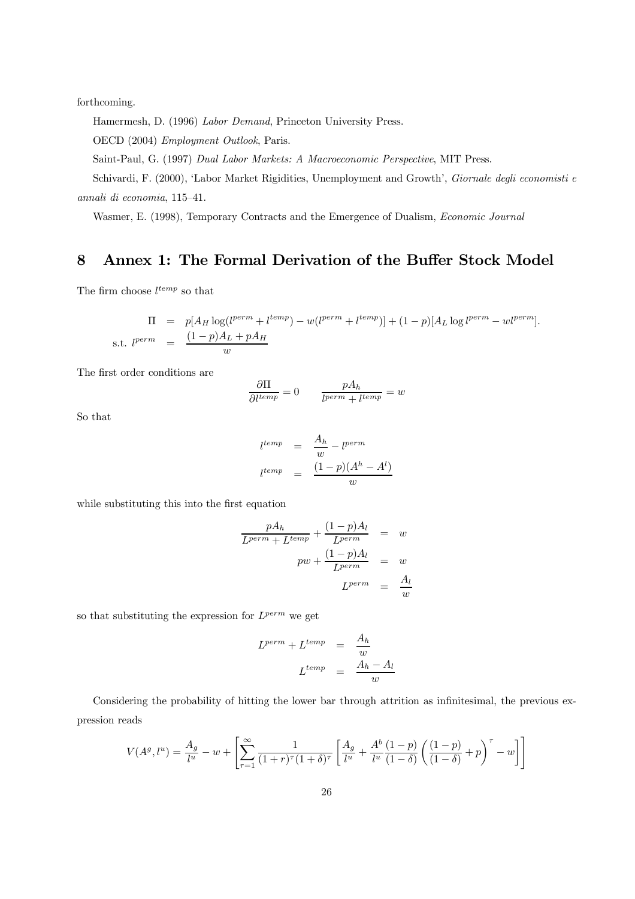forthcoming.

Hamermesh, D. (1996) Labor Demand, Princeton University Press.

OECD (2004) Employment Outlook, Paris.

Saint-Paul, G. (1997) Dual Labor Markets: A Macroeconomic Perspective, MIT Press.

Schivardi, F. (2000), 'Labor Market Rigidities, Unemployment and Growth', Giornale degli economisti e annali di economia, 115—41.

Wasmer, E. (1998), Temporary Contracts and the Emergence of Dualism, Economic Journal

# 8 Annex 1: The Formal Derivation of the Buffer Stock Model

The firm choose  $l^{temp}$  so that

$$
\Pi = p[A_H \log(l^{perm} + l^{temp}) - w(l^{perm} + l^{temp})] + (1-p)[A_L \log l^{perm} - wl^{perm}].
$$
  
s.t. 
$$
l^{perm} = \frac{(1-p)A_L + pA_H}{w}
$$

The first order conditions are

$$
\frac{\partial \Pi}{\partial l^{temp}} = 0 \qquad \frac{pA_h}{l^{perm} + l^{temp}} = w
$$

So that

$$
l^{temp} = \frac{A_h}{w} - l^{perm}
$$

$$
l^{temp} = \frac{(1-p)(A^h - A^l)}{w}
$$

while substituting this into the first equation

$$
\frac{pA_h}{L^{perm} + L^{temp}} + \frac{(1-p)A_l}{L^{perm}} = w
$$

$$
pw + \frac{(1-p)A_l}{L^{perm}} = w
$$

$$
L^{perm} = \frac{A_l}{w}
$$

so that substituting the expression for  $L^{perm}$  we get

$$
L^{perm} + L^{temp} = \frac{A_h}{w}
$$

$$
L^{temp} = \frac{A_h - A_l}{w}
$$

Considering the probability of hitting the lower bar through attrition as infinitesimal, the previous expression reads

$$
V(A^g, l^u) = \frac{A_g}{l^u} - w + \left[ \sum_{\tau=1}^{\infty} \frac{1}{(1+r)^{\tau} (1+\delta)^{\tau}} \left[ \frac{A_g}{l^u} + \frac{A^b}{l^u} \frac{(1-p)}{(1-\delta)} \left( \frac{(1-p)}{(1-\delta)} + p \right)^{\tau} - w \right] \right]
$$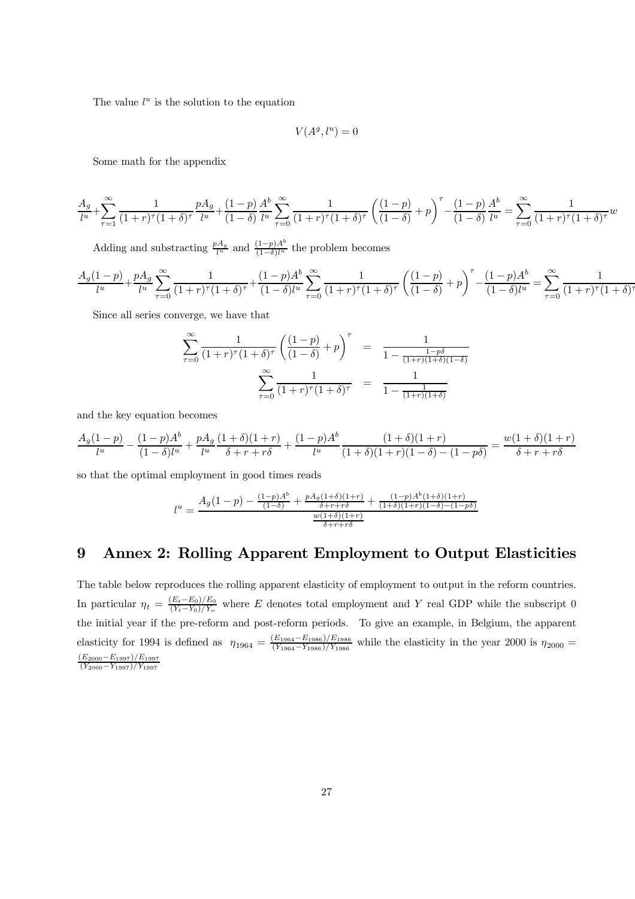The value  $l^u$  is the solution to the equation

$$
V(A^g, l^u) = 0
$$

Some math for the appendix

$$
\frac{A_g}{l^u} + \sum_{\tau=1}^{\infty} \frac{1}{(1+r)^{\tau} (1+\delta)^{\tau}} \frac{p A_g}{l^u} + \frac{(1-p)}{(1-\delta)} \frac{A^b}{l^u} \sum_{\tau=0}^{\infty} \frac{1}{(1+r)^{\tau} (1+\delta)^{\tau}} \left(\frac{(1-p)}{(1-\delta)} + p\right)^{\tau} - \frac{(1-p)}{(1-\delta)} \frac{A^b}{l^u} = \sum_{\tau=0}^{\infty} \frac{1}{(1+r)^{\tau} (1+\delta)^{\tau}} w
$$

Adding and substracting  $\frac{pA_g}{l^u}$  and  $\frac{(1-p)A^b}{(1-\delta)l^u}$  the problem becomes

$$
\frac{A_g(1-p)}{l^u} + \frac{pA_g}{l^u} \sum_{\tau=0}^{\infty} \frac{1}{(1+r)^{\tau}(1+\delta)^{\tau}} + \frac{(1-p)A^b}{(1-\delta)l^u} \sum_{\tau=0}^{\infty} \frac{1}{(1+r)^{\tau}(1+\delta)^{\tau}} \left(\frac{(1-p)}{(1-\delta)} + p\right)^{\tau} - \frac{(1-p)A^b}{(1-\delta)l^u} = \sum_{\tau=0}^{\infty} \frac{1}{(1+r)^{\tau}(1+\delta)^{\tau}}
$$

Since all series converge, we have that

$$
\sum_{\tau=0}^{\infty} \frac{1}{(1+r)^{\tau} (1+\delta)^{\tau}} \left( \frac{(1-p)}{(1-\delta)} + p \right)^{\tau} = \frac{1}{1 - \frac{1-p\delta}{(1+r)(1+\delta)(1-\delta)}} \n\sum_{\tau=0}^{\infty} \frac{1}{(1+r)^{\tau} (1+\delta)^{\tau}} = \frac{1}{1 - \frac{1}{(1+r)(1+\delta)}}
$$

and the key equation becomes

$$
\frac{A_g(1-p)}{l^u} - \frac{(1-p)A^b}{(1-\delta)l^u} + \frac{pA_g}{l^u}\frac{(1+\delta)(1+r)}{\delta + r + r\delta} + \frac{(1-p)A^b}{l^u}\frac{(1+\delta)(1+r)}{(1+\delta)(1+r)(1-\delta) - (1-p\delta)} = \frac{w(1+\delta)(1+r)}{\delta + r + r\delta}
$$

so that the optimal employment in good times reads

$$
l^{u} = \frac{A_g(1-p) - \frac{(1-p)A^b}{(1-\delta)} + \frac{pA_g(1+\delta)(1+r)}{\delta+r+r\delta} + \frac{(1-p)A^b(1+\delta)(1+r)}{(1+\delta)(1+r)(1-\delta)-(1-p\delta)}}{\frac{w(1+\delta)(1+r)}{\delta+r+r\delta}}
$$

# 9 Annex 2: Rolling Apparent Employment to Output Elasticities

The table below reproduces the rolling apparent elasticity of employment to output in the reform countries. In particular  $\eta_t = \frac{(E_t - E_0)/E_0}{(Y_t - Y_0)/Y_o}$  where E denotes total employment and Y real GDP while the subscript 0 the initial year if the pre-reform and post-reform periods. To give an example, in Belgium, the apparent elasticity for 1994 is defined as  $\eta_{1964} = \frac{(E_{1964} - E_{1986})/E_{1986}}{(Y_{1964} - Y_{1986})/Y_{1986}}$  while the elasticity in the year 2000 is  $\eta_{2000} =$  $\frac{(E_{2000}-E_{1997})/E_{1997}}{(V_{2000}-V_{1907})/V_{1907}}$  $(Y_{2000}-Y_{1997})/Y_{1997}$